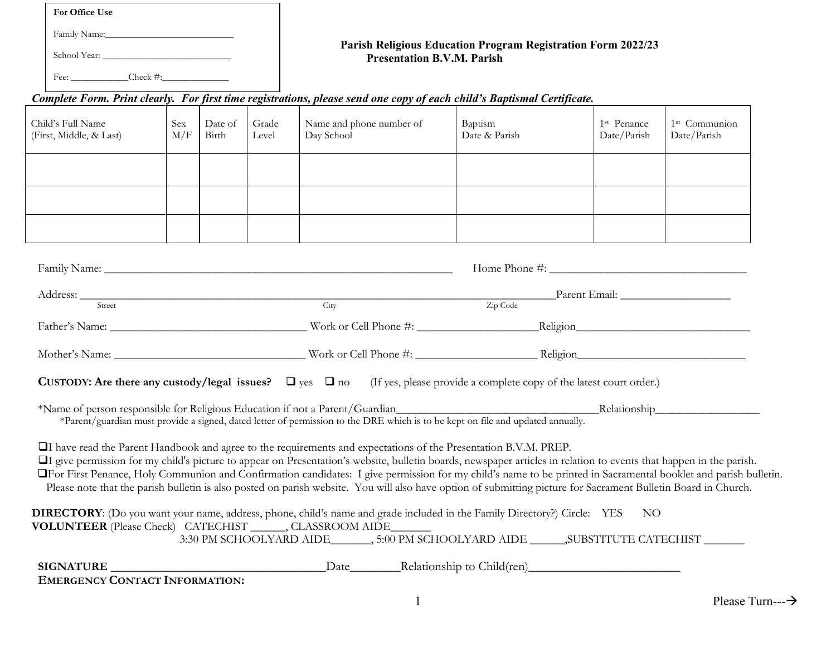**For Office Use**

Family Name:\_\_\_\_\_\_\_\_\_\_\_\_\_\_\_\_\_\_\_\_\_\_\_\_\_\_\_

School Year: \_\_\_\_\_\_\_\_\_\_\_\_\_\_\_\_\_\_\_\_\_\_\_\_\_\_\_

Fee: \_\_\_\_\_\_\_\_\_\_\_\_Check #:\_\_\_\_\_\_\_\_\_\_\_\_\_\_

## **Parish Religious Education Program Registration Form 2022/23 Presentation B.V.M. Parish**

## *Complete Form. Print clearly. For first time registrations, please send one copy of each child's Baptismal Certificate.*

| Child's Full Name<br>(First, Middle, & Last) | <b>Sex</b><br>M/F | Date of<br>Birth | Grade<br>Level | Name and phone number of<br>Day School | Baptism<br>Date & Parish | 1 <sup>st</sup> Penance<br>Date/Parish | 1 <sup>st</sup> Communion<br>Date/Parish |
|----------------------------------------------|-------------------|------------------|----------------|----------------------------------------|--------------------------|----------------------------------------|------------------------------------------|
|                                              |                   |                  |                |                                        |                          |                                        |                                          |
|                                              |                   |                  |                |                                        |                          |                                        |                                          |
|                                              |                   |                  |                |                                        |                          |                                        |                                          |

| Street                                                                                                                                                                                               | City                                                                                                                            | Address: Parent Email: Parent Email: Parent Email:<br>Zip Code                                                                                                                                                                                                                                                                                                                                                                                                                                                |  |
|------------------------------------------------------------------------------------------------------------------------------------------------------------------------------------------------------|---------------------------------------------------------------------------------------------------------------------------------|---------------------------------------------------------------------------------------------------------------------------------------------------------------------------------------------------------------------------------------------------------------------------------------------------------------------------------------------------------------------------------------------------------------------------------------------------------------------------------------------------------------|--|
|                                                                                                                                                                                                      |                                                                                                                                 |                                                                                                                                                                                                                                                                                                                                                                                                                                                                                                               |  |
|                                                                                                                                                                                                      |                                                                                                                                 |                                                                                                                                                                                                                                                                                                                                                                                                                                                                                                               |  |
|                                                                                                                                                                                                      |                                                                                                                                 | <b>CUSTODY:</b> Are there any custody/legal issues? $\Box$ yes $\Box$ no (If yes, please provide a complete copy of the latest court order.)                                                                                                                                                                                                                                                                                                                                                                  |  |
|                                                                                                                                                                                                      | *Parent/guardian must provide a signed, dated letter of permission to the DRE which is to be kept on file and updated annually. |                                                                                                                                                                                                                                                                                                                                                                                                                                                                                                               |  |
|                                                                                                                                                                                                      | <b>QI</b> have read the Parent Handbook and agree to the requirements and expectations of the Presentation B.V.M. PREP.         | If give permission for my child's picture to appear on Presentation's website, bulletin boards, newspaper articles in relation to events that happen in the parish.<br><b>OF</b> First Penance, Holy Communion and Confirmation candidates: I give permission for my child's name to be printed in Sacramental booklet and parish bulletin.<br>Please note that the parish bulletin is also posted on parish website. You will also have option of submitting picture for Sacrament Bulletin Board in Church. |  |
| DIRECTORY: (Do you want your name, address, phone, child's name and grade included in the Family Directory?) Circle: YES<br><b>VOLUNTEER</b> (Please Check) CATECHIST _______, CLASSROOM AIDE_______ |                                                                                                                                 | NO <sub>1</sub><br>3:30 PM SCHOOLYARD AIDE________, 5:00 PM SCHOOLYARD AIDE _______, SUBSTITUTE CATECHIST ________                                                                                                                                                                                                                                                                                                                                                                                            |  |
|                                                                                                                                                                                                      |                                                                                                                                 |                                                                                                                                                                                                                                                                                                                                                                                                                                                                                                               |  |
| <b>EMERGENCY CONTACT INFORMATION:</b>                                                                                                                                                                |                                                                                                                                 |                                                                                                                                                                                                                                                                                                                                                                                                                                                                                                               |  |